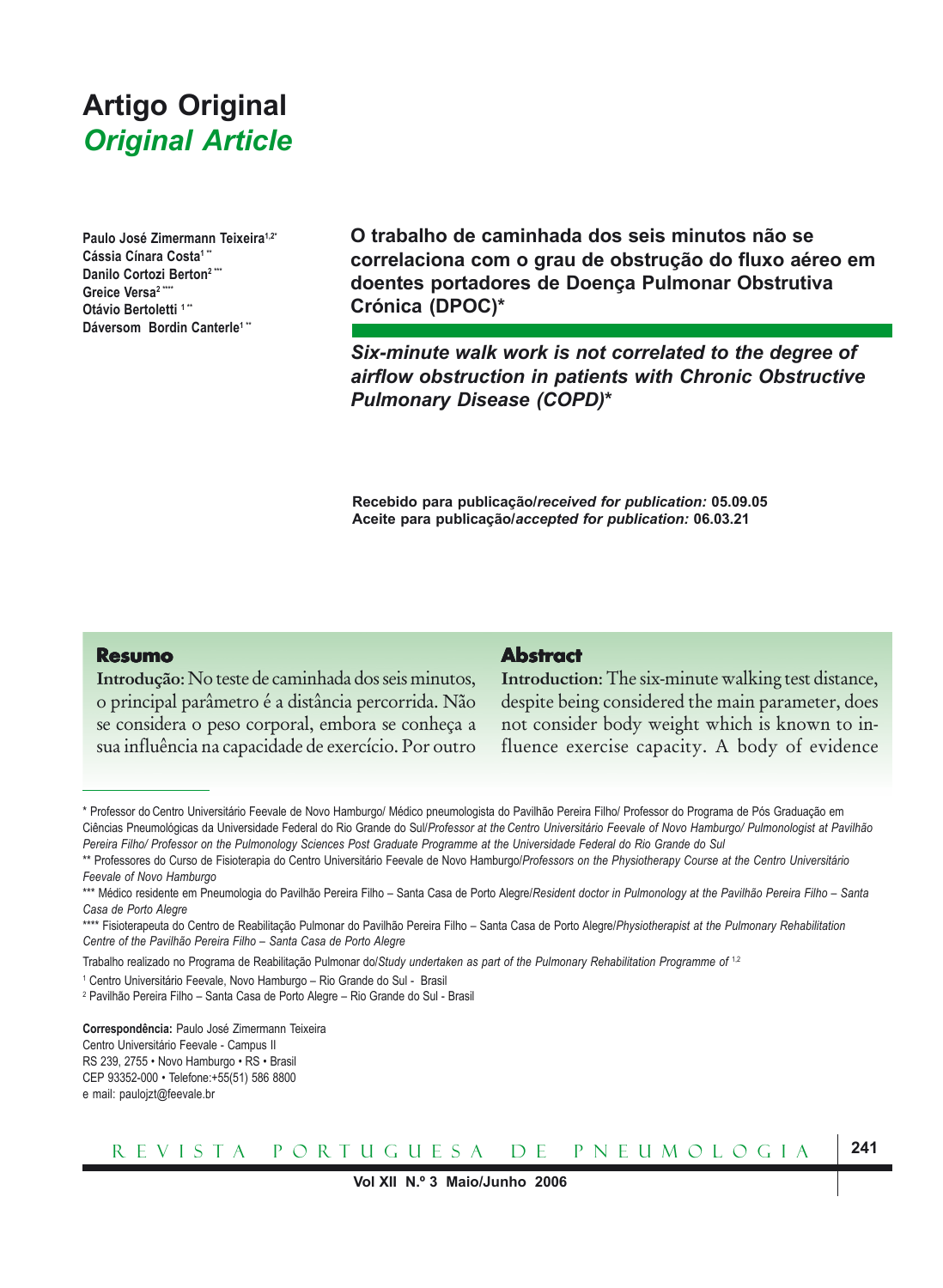# **Artigo Original** Paulo José Zimermann Teixeira, Cássia Cínara Costa, Danilo Cortozi Berton, Greice Versa, Otávio Bertoletti, Dáversom Bordin Canterle, *Original Article*

**Paulo José Zimermann Teixeira1,2\*** Cássia Cínara Costa<sup>1</sup> **Danilo Cortozi Berton2 \*\*\*** Greice Versa<sup>2</sup> **Otávio Bertoletti 1\*\* Dáversom Bordin Canterle1 \*\***

**O trabalho de caminhada dos seis minutos não se correlaciona com o grau de obstrução do fluxo aéreo em doentes portadores de Doença Pulmonar Obstrutiva Crónica (DPOC)\***

*Six-minute walk work is not correlated to the degree of airflow obstruction in patients with Chronic Obstructive Pulmonary Disease (COPD)***\***

**Recebido para publicação/***received for publication:* **05.09.05 Aceite para publicação/***accepted for publication:* **06.03.21**

#### **Resumo**

**Introdução**: No teste de caminhada dos seis minutos, o principal parâmetro é a distância percorrida. Não se considera o peso corporal, embora se conheça a sua influência na capacidade de exercício. Por outro

#### **Abstract Abstract**

**Introduction**: The six-minute walking test distance, despite being considered the main parameter, does not consider body weight which is known to influence exercise capacity. A body of evidence

Trabalho realizado no Programa de Reabilitação Pulmonar do/*Study undertaken as part of the Pulmonary Rehabilitation Programme of* 1,2

**Correspondência:** Paulo José Zimermann Teixeira Centro Universitário Feevale - Campus II RS 239, 2755 • Novo Hamburgo • RS • Brasil CEP 93352-000 • Telefone:+55(51) 586 8800 e mail: paulojzt@feevale.br



<sup>\*</sup> Professor do Centro Universitário Feevale de Novo Hamburgo/ Médico pneumologista do Pavilhão Pereira Filho/ Professor do Programa de Pós Graduação em Ciências Pneumológicas da Universidade Federal do Rio Grande do Sul/*Professor at the Centro Universitário Feevale of Novo Hamburgo/ Pulmonologist at Pavilhão Pereira Filho/ Professor on the Pulmonology Sciences Post Graduate Programme at the Universidade Federal do Rio Grande do Sul*

<sup>\*\*</sup> Professores do Curso de Fisioterapia do Centro Universitário Feevale de Novo Hamburgo/*Professors on the Physiotherapy Course at the Centro Universitário Feevale of Novo Hamburgo*

<sup>\*\*\*</sup> Médico residente em Pneumologia do Pavilhão Pereira Filho – Santa Casa de Porto Alegre/*Resident doctor in Pulmonology at the Pavilhão Pereira Filho – Santa Casa de Porto Alegre*

<sup>\*\*\*\*</sup> Fisioterapeuta do Centro de Reabilitação Pulmonar do Pavilhão Pereira Filho – Santa Casa de Porto Alegre/*Physiotherapist at the Pulmonary Rehabilitation Centre of the Pavilhão Pereira Filho – Santa Casa de Porto Alegre*

<sup>&</sup>lt;sup>1</sup> Centro Universitário Feevale, Novo Hamburgo - Rio Grande do Sul - Brasil

<sup>2</sup> Pavilhão Pereira Filho – Santa Casa de Porto Alegre – Rio Grande do Sul - Brasil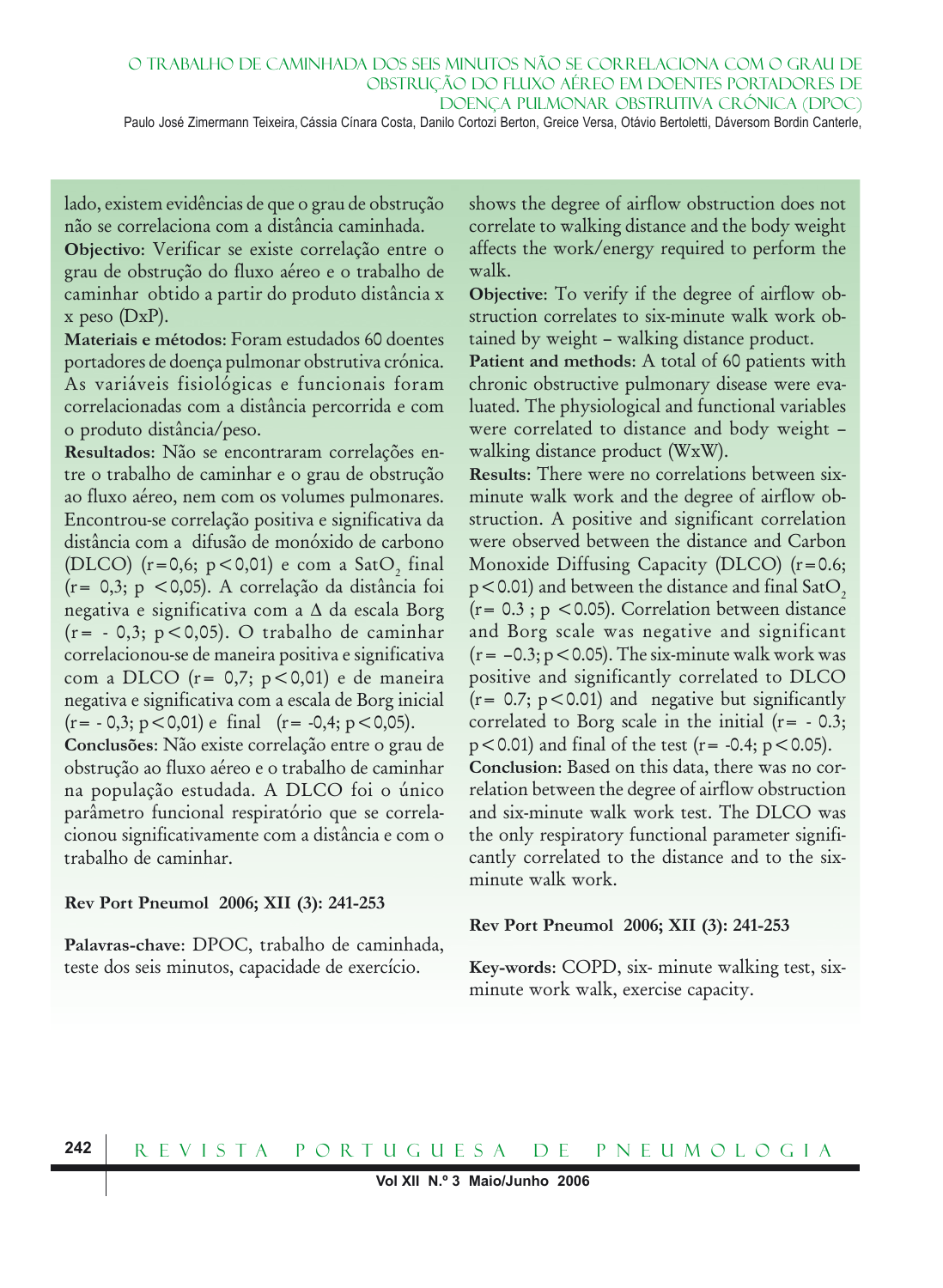Paulo José Zimermann Teixeira, Cássia Cínara Costa, Danilo Cortozi Berton, Greice Versa, Otávio Bertoletti, Dáversom Bordin Canterle,

lado, existem evidências de que o grau de obstrução não se correlaciona com a distância caminhada.

**Objectivo**: Verificar se existe correlação entre o grau de obstrução do fluxo aéreo e o trabalho de caminhar obtido a partir do produto distância x  $x$  peso  $(DxP)$ .

**Materiais e métodos**: Foram estudados 60 doentes portadores de doença pulmonar obstrutiva crónica. As variáveis fisiológicas e funcionais foram correlacionadas com a distância percorrida e com o produto distância/peso.

**Resultados**: Não se encontraram correlações entre o trabalho de caminhar e o grau de obstrução ao fluxo aéreo, nem com os volumes pulmonares. Encontrou-se correlação positiva e significativa da distância com a difusão de monóxido de carbono (DLCO) (r=0,6; p<0,01) e com a SatO<sub>2</sub> final (r= 0,3; p <0,05). A correlação da distância foi negativa e significativa com a ∆ da escala Borg (r= - 0,3; p<0,05). O trabalho de caminhar correlacionou-se de maneira positiva e significativa com a DLCO ( $r = 0,7$ ;  $p < 0,01$ ) e de maneira negativa e significativa com a escala de Borg inicial  $(r=-0,3; p<0,01)$  e final  $(r=-0,4; p<0,05)$ .

**Conclusões**: Não existe correlação entre o grau de obstrução ao fluxo aéreo e o trabalho de caminhar na população estudada. A DLCO foi o único parâmetro funcional respiratório que se correlacionou significativamente com a distância e com o trabalho de caminhar.

#### **Rev Port Pneumol 2006; XII (3): 241-253**

**Palavras-chave**: DPOC, trabalho de caminhada, teste dos seis minutos, capacidade de exercício.

shows the degree of airflow obstruction does not correlate to walking distance and the body weight affects the work/energy required to perform the walk.

**Objective**: To verify if the degree of airflow obstruction correlates to six-minute walk work obtained by weight – walking distance product.

**Patient and methods**: A total of 60 patients with chronic obstructive pulmonary disease were evaluated. The physiological and functional variables were correlated to distance and body weight – walking distance product (WxW).

**Results**: There were no correlations between sixminute walk work and the degree of airflow obstruction. A positive and significant correlation were observed between the distance and Carbon Monoxide Diffusing Capacity (DLCO) (r=0.6;  $p$ <0.01) and between the distance and final SatO<sub>2</sub>  $(r= 0.3$ ;  $p < 0.05$ ). Correlation between distance and Borg scale was negative and significant  $(r=-0.3; p<0.05)$ . The six-minute walk work was positive and significantly correlated to DLCO  $(r= 0.7; p<0.01)$  and negative but significantly correlated to Borg scale in the initial  $(r = -0.3;$  $p < 0.01$ ) and final of the test (r = -0.4;  $p < 0.05$ ). **Conclusion**: Based on this data, there was no correlation between the degree of airflow obstruction and six-minute walk work test. The DLCO was

the only respiratory functional parameter significantly correlated to the distance and to the sixminute walk work.

#### **Rev Port Pneumol 2006; XII (3): 241-253**

**Key-words**: COPD, six- minute walking test, sixminute work walk, exercise capacity.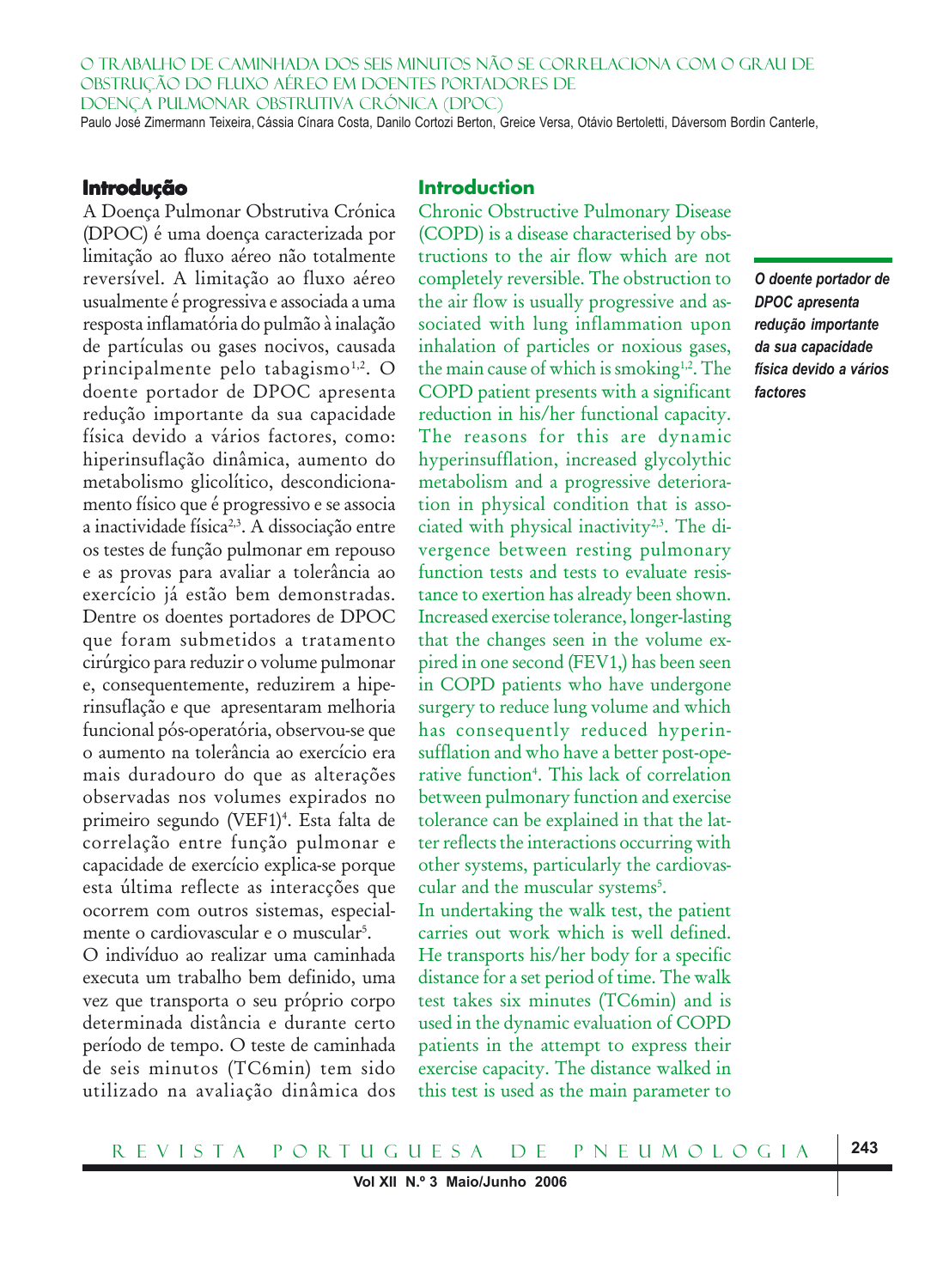O TRABALHO DE CAMINHADA DOS SEIS MINUTOS NÃO SE CORRELACIONA COM O GRAU DE OBSTRUÇÃO DO FLUXO AÉREO EM DOENTES PORTADORES DE DOENÇA PULMONAR OBSTRUTIVA CRÓNICA (DPOC) Paulo José Zimermann Teixeira, Cássia Cínara Costa, Danilo Cortozi Berton, Greice Versa, Otávio Bertoletti, Dáversom Bordin Canterle,

#### **Introdução**

A Doença Pulmonar Obstrutiva Crónica (DPOC) é uma doença caracterizada por limitação ao fluxo aéreo não totalmente reversível. A limitação ao fluxo aéreo usualmente é progressiva e associada a uma resposta inflamatória do pulmão à inalação de partículas ou gases nocivos, causada principalmente pelo tabagismo<sup>1,2</sup>. O doente portador de DPOC apresenta redução importante da sua capacidade física devido a vários factores, como: hiperinsuflação dinâmica, aumento do metabolismo glicolítico, descondicionamento físico que é progressivo e se associa a inactividade física<sup>2,3</sup>. A dissociação entre os testes de função pulmonar em repouso e as provas para avaliar a tolerância ao exercício já estão bem demonstradas. Dentre os doentes portadores de DPOC que foram submetidos a tratamento cirúrgico para reduzir o volume pulmonar e, consequentemente, reduzirem a hiperinsuflação e que apresentaram melhoria funcional pós-operatória, observou-se que o aumento na tolerância ao exercício era mais duradouro do que as alterações observadas nos volumes expirados no primeiro segundo (VEF1)<sup>4</sup>. Esta falta de correlação entre função pulmonar e capacidade de exercício explica-se porque esta última reflecte as interacções que ocorrem com outros sistemas, especialmente o cardiovascular e o muscular5 .

O indivíduo ao realizar uma caminhada executa um trabalho bem definido, uma vez que transporta o seu próprio corpo determinada distância e durante certo período de tempo. O teste de caminhada de seis minutos (TC6min) tem sido utilizado na avaliação dinâmica dos

# **Introduction**

Chronic Obstructive Pulmonary Disease (COPD) is a disease characterised by obstructions to the air flow which are not completely reversible. The obstruction to the air flow is usually progressive and associated with lung inflammation upon inhalation of particles or noxious gases, the main cause of which is smoking<sup>1,2</sup>. The COPD patient presents with a significant reduction in his/her functional capacity. The reasons for this are dynamic hyperinsufflation, increased glycolythic metabolism and a progressive deterioration in physical condition that is associated with physical inactivity<sup>2,3</sup>. The divergence between resting pulmonary function tests and tests to evaluate resistance to exertion has already been shown. Increased exercise tolerance, longer-lasting that the changes seen in the volume expired in one second (FEV1,) has been seen in COPD patients who have undergone surgery to reduce lung volume and which has consequently reduced hyperinsufflation and who have a better post-operative function4 . This lack of correlation between pulmonary function and exercise tolerance can be explained in that the latter reflects the interactions occurring with other systems, particularly the cardiovascular and the muscular systems<sup>5</sup>.

In undertaking the walk test, the patient carries out work which is well defined. He transports his/her body for a specific distance for a set period of time. The walk test takes six minutes (TC6min) and is used in the dynamic evaluation of COPD patients in the attempt to express their exercise capacity. The distance walked in this test is used as the main parameter to

*O doente portador de DPOC apresenta redução importante da sua capacidade física devido a vários factores*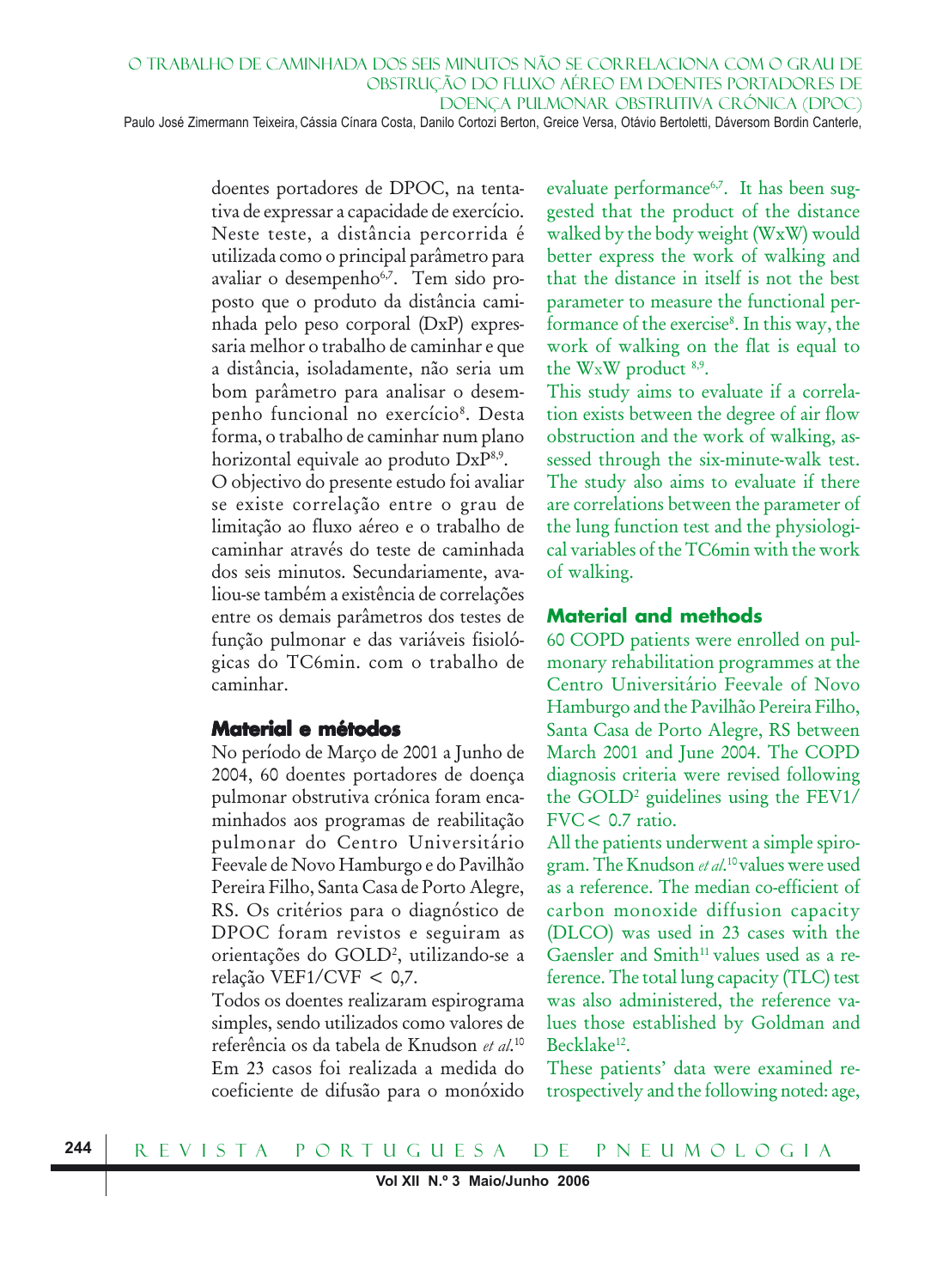Paulo José Zimermann Teixeira, Cássia Cínara Costa, Danilo Cortozi Berton, Greice Versa, Otávio Bertoletti, Dáversom Bordin Canterle,

doentes portadores de DPOC, na tentativa de expressar a capacidade de exercício. Neste teste, a distância percorrida é utilizada como o principal parâmetro para avaliar o desempenho<sup>6,7</sup>. Tem sido proposto que o produto da distância caminhada pelo peso corporal (DxP) expressaria melhor o trabalho de caminhar e que a distância, isoladamente, não seria um bom parâmetro para analisar o desempenho funcional no exercício<sup>8</sup>. Desta forma, o trabalho de caminhar num plano horizontal equivale ao produto DxP<sup>8,9</sup>. O objectivo do presente estudo foi avaliar se existe correlação entre o grau de limitação ao fluxo aéreo e o trabalho de caminhar através do teste de caminhada dos seis minutos. Secundariamente, avaliou-se também a existência de correlações entre os demais parâmetros dos testes de função pulmonar e das variáveis fisiológicas do TC6min. com o trabalho de caminhar.

# **Material e métodos**

No período de Março de 2001 a Junho de 2004, 60 doentes portadores de doença pulmonar obstrutiva crónica foram encaminhados aos programas de reabilitação pulmonar do Centro Universitário Feevale de Novo Hamburgo e do Pavilhão Pereira Filho, Santa Casa de Porto Alegre, RS. Os critérios para o diagnóstico de DPOC foram revistos e seguiram as orientações do GOLD2 , utilizando-se a relação VEF1/CVF < 0,7.

Todos os doentes realizaram espirograma simples, sendo utilizados como valores de referência os da tabela de Knudson *et al*. 10 Em 23 casos foi realizada a medida do coeficiente de difusão para o monóxido evaluate performance<sup>6,7</sup>. It has been suggested that the product of the distance walked by the body weight (WxW) would better express the work of walking and that the distance in itself is not the best parameter to measure the functional performance of the exercise<sup>8</sup>. In this way, the work of walking on the flat is equal to the WxW product 8,9.

This study aims to evaluate if a correlation exists between the degree of air flow obstruction and the work of walking, assessed through the six-minute-walk test. The study also aims to evaluate if there are correlations between the parameter of the lung function test and the physiological variables of the TC6min with the work of walking.

#### **Material and methods**

60 COPD patients were enrolled on pulmonary rehabilitation programmes at the Centro Universitário Feevale of Novo Hamburgo and the Pavilhão Pereira Filho, Santa Casa de Porto Alegre, RS between March 2001 and June 2004. The COPD diagnosis criteria were revised following the GOLD2 guidelines using the FEV1/ FVC< 0.7 ratio.

All the patients underwent a simple spirogram. The Knudson *et al*. 10 values were used as a reference. The median co-efficient of carbon monoxide diffusion capacity (DLCO) was used in 23 cases with the Gaensler and Smith<sup>11</sup> values used as a reference. The total lung capacity (TLC) test was also administered, the reference values those established by Goldman and Becklake<sup>12</sup>.

These patients' data were examined retrospectively and the following noted: age,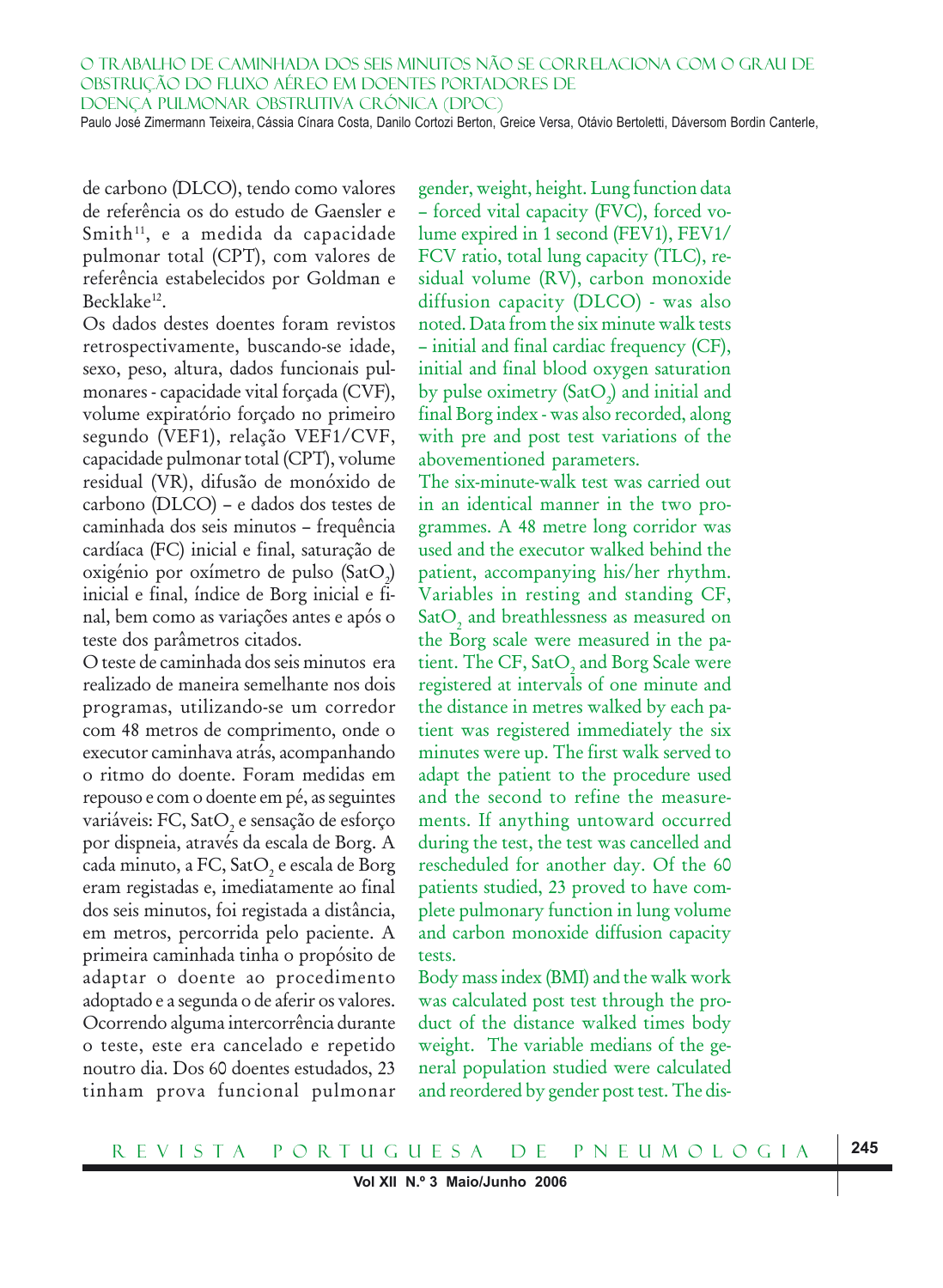de carbono (DLCO), tendo como valores de referência os do estudo de Gaensler e Smith<sup>11</sup>, e a medida da capacidade pulmonar total (CPT), com valores de referência estabelecidos por Goldman e Becklake<sup>12</sup>.

Os dados destes doentes foram revistos retrospectivamente, buscando-se idade, sexo, peso, altura, dados funcionais pulmonares - capacidade vital forçada (CVF), volume expiratório forçado no primeiro segundo (VEF1), relação VEF1/CVF, capacidade pulmonar total (CPT), volume residual (VR), difusão de monóxido de carbono (DLCO) – e dados dos testes de caminhada dos seis minutos – frequência cardíaca (FC) inicial e final, saturação de oxigénio por oxímetro de pulso (Sat $\mathrm{O}_2$ ) inicial e final, índice de Borg inicial e final, bem como as variações antes e após o teste dos parâmetros citados.

O teste de caminhada dos seis minutos era realizado de maneira semelhante nos dois programas, utilizando-se um corredor com 48 metros de comprimento, onde o executor caminhava atrás, acompanhando o ritmo do doente. Foram medidas em repouso e com o doente em pé, as seguintes variáveis: FC, Sat $\mathrm{O}_\mathrm{2}$  e sensação de esforço por dispneia, através da escala de Borg. A cada minuto, a FC, Sat $\mathrm{O}_\mathrm{2}$ e escala de Borg eram registadas e, imediatamente ao final dos seis minutos, foi registada a distância, em metros, percorrida pelo paciente. A primeira caminhada tinha o propósito de adaptar o doente ao procedimento adoptado e a segunda o de aferir os valores. Ocorrendo alguma intercorrência durante o teste, este era cancelado e repetido noutro dia. Dos 60 doentes estudados, 23 tinham prova funcional pulmonar gender, weight, height. Lung function data – forced vital capacity (FVC), forced volume expired in 1 second (FEV1), FEV1/ FCV ratio, total lung capacity (TLC), residual volume (RV), carbon monoxide diffusion capacity (DLCO) - was also noted. Data from the six minute walk tests – initial and final cardiac frequency (CF), initial and final blood oxygen saturation by pulse oximetry  $(SatO<sub>2</sub>)$  and initial and final Borg index - was also recorded, along with pre and post test variations of the abovementioned parameters.

The six-minute-walk test was carried out in an identical manner in the two programmes. A 48 metre long corridor was used and the executor walked behind the patient, accompanying his/her rhythm. Variables in resting and standing CF, Sat $\mathrm{O}_2$  and breathlessness as measured on the Borg scale were measured in the patient. The CF, Sat $\mathrm{O}_2$  and Borg Scale were registered at intervals of one minute and the distance in metres walked by each patient was registered immediately the six minutes were up. The first walk served to adapt the patient to the procedure used and the second to refine the measurements. If anything untoward occurred during the test, the test was cancelled and rescheduled for another day. Of the 60 patients studied, 23 proved to have complete pulmonary function in lung volume and carbon monoxide diffusion capacity tests.

Body mass index (BMI) and the walk work was calculated post test through the product of the distance walked times body weight. The variable medians of the general population studied were calculated and reordered by gender post test. The dis-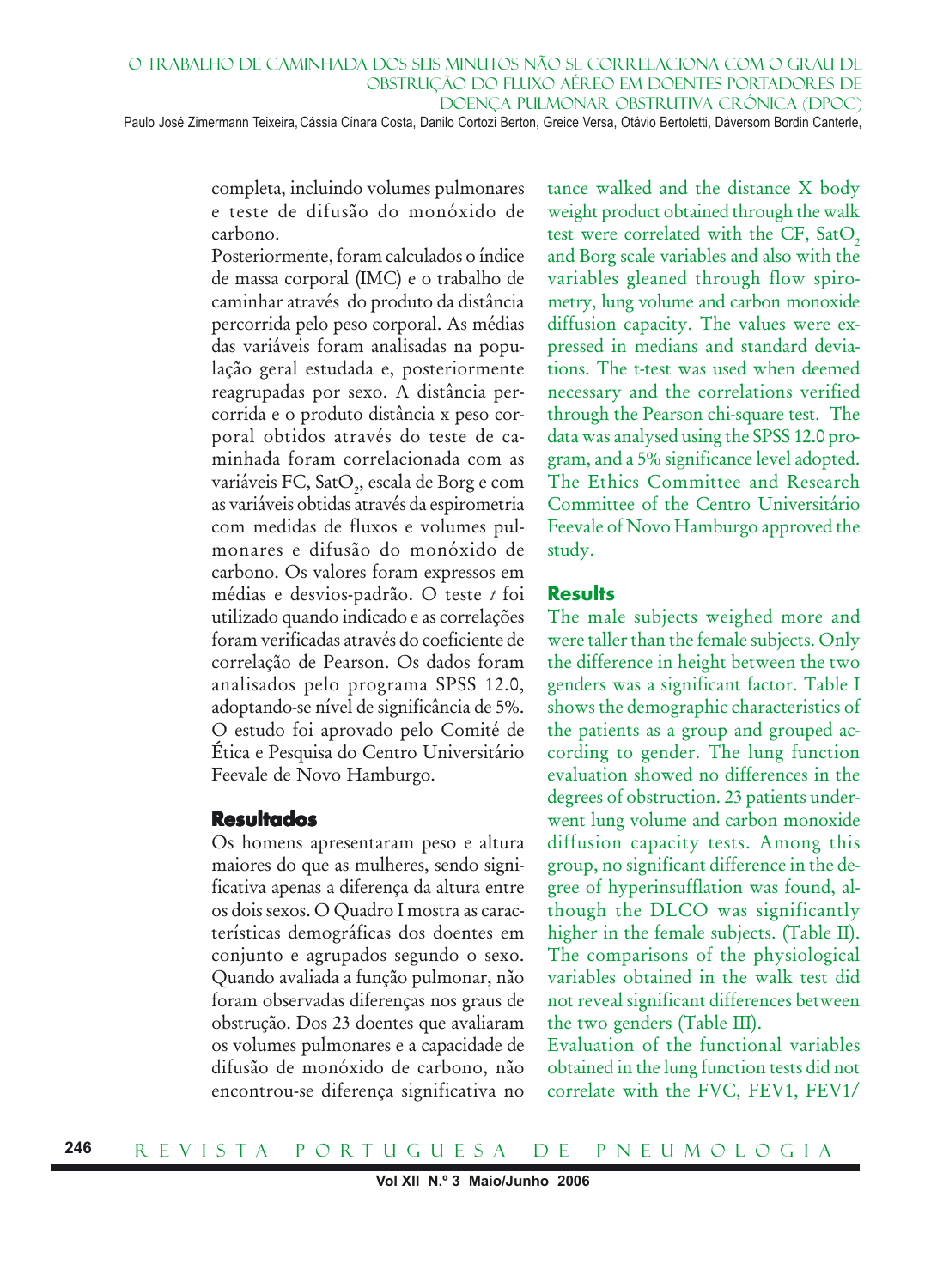O TRABALHO DE CAMINHADA DOS SEIS MINUTOS NÃO SE CORRELACIONA COM O GRAU DE OBSTRUÇÃO DO FLUXO AÉREO EM DOENTES PORTADORES DE DOENÇA PULMONAR OBSTRUTIVA CRÓNICA (DPOC) Paulo José Zimermann Teixeira, Cássia Cínara Costa, Danilo Cortozi Berton, Greice Versa, Otávio Bertoletti, Dáversom Bordin Canterle,

> completa, incluindo volumes pulmonares e teste de difusão do monóxido de carbono.

Posteriormente, foram calculados o índice de massa corporal (IMC) e o trabalho de caminhar através do produto da distância percorrida pelo peso corporal. As médias das variáveis foram analisadas na população geral estudada e, posteriormente reagrupadas por sexo. A distância percorrida e o produto distância x peso corporal obtidos através do teste de caminhada foram correlacionada com as variáveis FC, Sat $\mathrm{O}_2^{}$ , escala de Borg e com as variáveis obtidas através da espirometria com medidas de fluxos e volumes pulmonares e difusão do monóxido de carbono. Os valores foram expressos em médias e desvios-padrão. O teste *t* foi utilizado quando indicado e as correlações foram verificadas através do coeficiente de correlação de Pearson. Os dados foram analisados pelo programa SPSS 12.0, adoptando-se nível de significância de 5%. O estudo foi aprovado pelo Comité de Ética e Pesquisa do Centro Universitário Feevale de Novo Hamburgo.

#### **Resultados**

Os homens apresentaram peso e altura maiores do que as mulheres, sendo significativa apenas a diferença da altura entre os dois sexos. O Quadro I mostra as características demográficas dos doentes em conjunto e agrupados segundo o sexo. Quando avaliada a função pulmonar, não foram observadas diferenças nos graus de obstrução. Dos 23 doentes que avaliaram os volumes pulmonares e a capacidade de difusão de monóxido de carbono, não encontrou-se diferença significativa no

tance walked and the distance X body weight product obtained through the walk test were correlated with the CF, SatO<sub>2</sub> and Borg scale variables and also with the variables gleaned through flow spirometry, lung volume and carbon monoxide diffusion capacity. The values were expressed in medians and standard deviations. The t-test was used when deemed necessary and the correlations verified through the Pearson chi-square test. The data was analysed using the SPSS 12.0 program, and a 5% significance level adopted. The Ethics Committee and Research Committee of the Centro Universitário Feevale of Novo Hamburgo approved the study.

#### **Results**

The male subjects weighed more and were taller than the female subjects. Only the difference in height between the two genders was a significant factor. Table I shows the demographic characteristics of the patients as a group and grouped according to gender. The lung function evaluation showed no differences in the degrees of obstruction. 23 patients underwent lung volume and carbon monoxide diffusion capacity tests. Among this group, no significant difference in the degree of hyperinsufflation was found, although the DLCO was significantly higher in the female subjects. (Table II). The comparisons of the physiological variables obtained in the walk test did not reveal significant differences between the two genders (Table III).

Evaluation of the functional variables obtained in the lung function tests did not correlate with the FVC, FEV1, FEV1/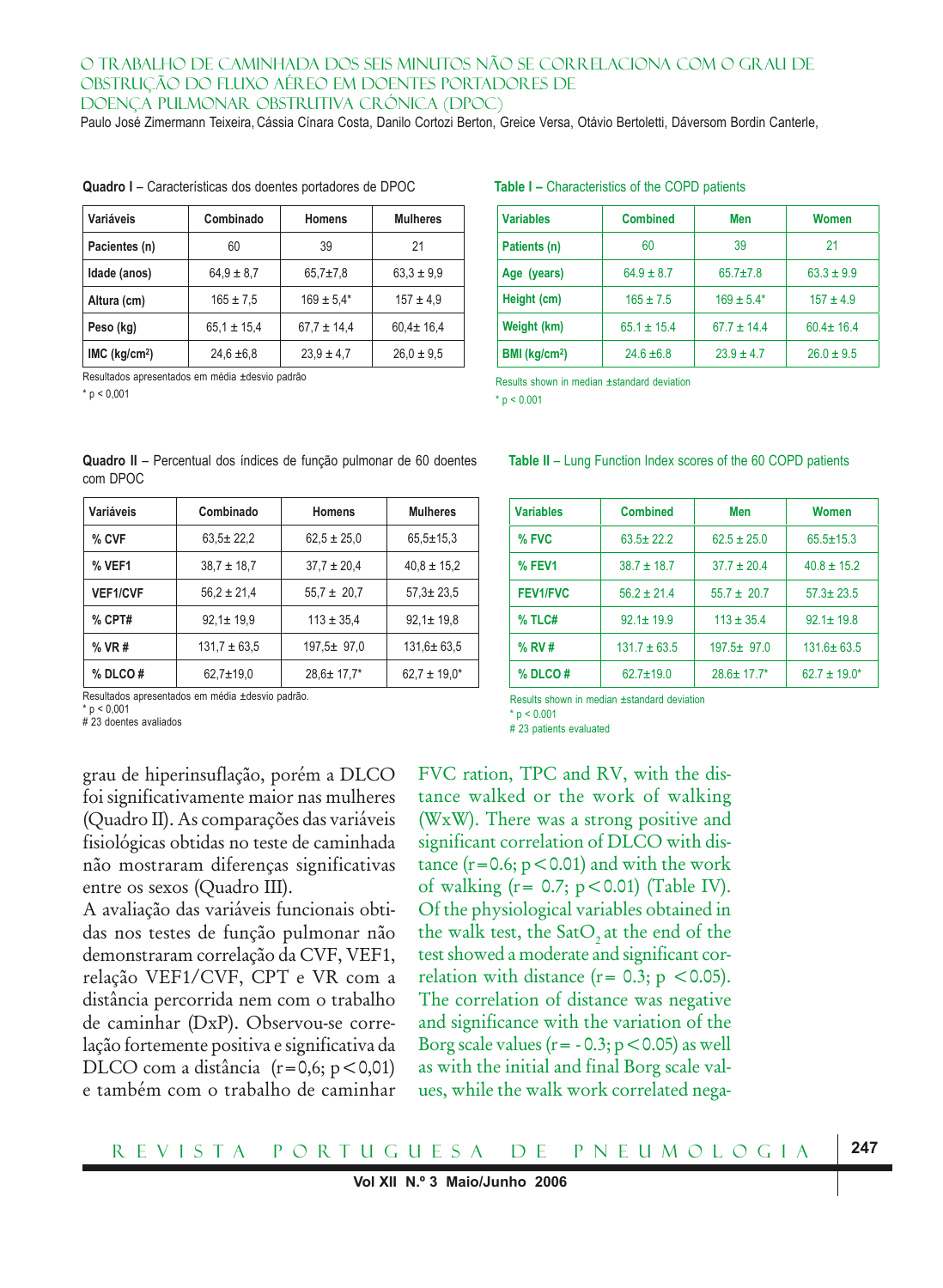Paulo José Zimermann Teixeira, Cássia Cínara Costa, Danilo Cortozi Berton, Greice Versa, Otávio Bertoletti, Dáversom Bordin Canterle,

| Variáveis                                     | Combinado<br><b>Homens</b> |                | <b>Mulheres</b> |  |
|-----------------------------------------------|----------------------------|----------------|-----------------|--|
| Pacientes (n)                                 | 60                         | 39             | 21              |  |
| Idade (anos)                                  | $64.9 \pm 8.7$             | $65.7 \pm 7.8$ | $63.3 \pm 9.9$  |  |
| Altura (cm)                                   | $165 \pm 7.5$              | $169 \pm 5.4*$ | $157 \pm 4.9$   |  |
| Peso (kg)                                     | $65.1 \pm 15.4$            |                | $60.4 \pm 16.4$ |  |
| $IMC$ (kg/cm <sup>2</sup> )<br>$24.6 \pm 6.8$ |                            | $23.9 \pm 4.7$ | $26.0 \pm 9.5$  |  |

**Quadro I** – Características dos doentes portadores de DPOC **Table I –** Characteristics of the COPD patients

Resultados apresentados em média ±desvio padrão

 $*$  p < 0.001

| <b>Variables</b>          | <b>Combined</b> | Men             | Women           |  |
|---------------------------|-----------------|-----------------|-----------------|--|
| Patients (n)              | 60              | 39              | 21              |  |
| Age (years)               | $64.9 \pm 8.7$  | $65.7 \pm 7.8$  | $63.3 \pm 9.9$  |  |
| Height (cm)               | $165 \pm 7.5$   |                 | $157 \pm 4.9$   |  |
| Weight (km)               | $65.1 \pm 15.4$ | $67.7 \pm 14.4$ | $60.4 \pm 16.4$ |  |
| BMI (kg/cm <sup>2</sup> ) | $24.6 \pm 6.8$  | $23.9 \pm 4.7$  | $26.0 \pm 9.5$  |  |

**Table II** – Lung Function Index scores of the 60 COPD patients

**Variables Combined Men Women % FVC** 63.5 ± 22.2 62.5 ± 25.0 65.5 ± 15.3 **% FEV1** 38.7 ± 18.7 37.7 ± 20.4 40.8 ± 15.2  **FEV1/FVC** 56.2 ± 21.4 55.7 ± 20.7 57.3± 23.5 **% TLC#** 92.1+19.9 113 + 35.4 92.1 + 19.8 **% RV #** 131.7 ± 63.5 197.5 ± 97.0 131.6 ± 63.5 **% DLCO #** 62.7±19.0 28.6± 17.7\* 62.7 ± 19.0\*

Results shown in median ±standard deviation

 $* n < 0.001$ 

| Quadro II - Percentual dos índices de função pulmonar de 60 doentes |  |  |  |
|---------------------------------------------------------------------|--|--|--|
| com DPOC                                                            |  |  |  |

| Variáveis       | Combinado        | <b>Homens</b>     | <b>Mulheres</b>   |  |
|-----------------|------------------|-------------------|-------------------|--|
| % CVF           | $63.5 \pm 22.2$  | $62.5 \pm 25.0$   | $65.5 \pm 15.3$   |  |
| % VEF1          | $38.7 \pm 18.7$  | $37.7 \pm 20.4$   | $40.8 \pm 15.2$   |  |
| <b>VEF1/CVF</b> | $56.2 \pm 21.4$  | $55.7 \pm 20.7$   | $57,3 \pm 23,5$   |  |
| $%$ CPT#        | $92.1 \pm 19.9$  | $113 \pm 35.4$    | $92.1 \pm 19.8$   |  |
| $%$ VR#         | $131.7 \pm 63.5$ | $197,5 \pm 97,0$  | $131.6 \pm 63.5$  |  |
| $%$ DLCO#       | $62.7 \pm 19.0$  | $28.6 \pm 17.7^*$ | $62.7 \pm 19.0^*$ |  |

Resultados apresentados em média ±desvio padrão.

 $n < 0.001$ 

# 23 doentes avaliados

grau de hiperinsuflação, porém a DLCO foi significativamente maior nas mulheres (Quadro II). As comparações das variáveis fisiológicas obtidas no teste de caminhada não mostraram diferenças significativas entre os sexos (Quadro III).

A avaliação das variáveis funcionais obtidas nos testes de função pulmonar não demonstraram correlação da CVF, VEF1, relação VEF1/CVF, CPT e VR com a distância percorrida nem com o trabalho de caminhar (DxP). Observou-se correlação fortemente positiva e significativa da DLCO com a distância  $(r=0.6; p<0.01)$ e também com o trabalho de caminhar

Results shown in median ±standard deviation  $n < 0.001$ # 23 patients evaluated

FVC ration, TPC and RV, with the distance walked or the work of walking (WxW). There was a strong positive and significant correlation of DLCO with distance  $(r=0.6; p<0.01)$  and with the work of walking  $(r= 0.7; p < 0.01)$  (Table IV). Of the physiological variables obtained in the walk test, the SatO<sub>2</sub> at the end of the test showed a moderate and significant correlation with distance  $(r = 0.3; p < 0.05)$ . The correlation of distance was negative and significance with the variation of the Borg scale values ( $r = -0.3$ ;  $p < 0.05$ ) as well as with the initial and final Borg scale values, while the walk work correlated nega-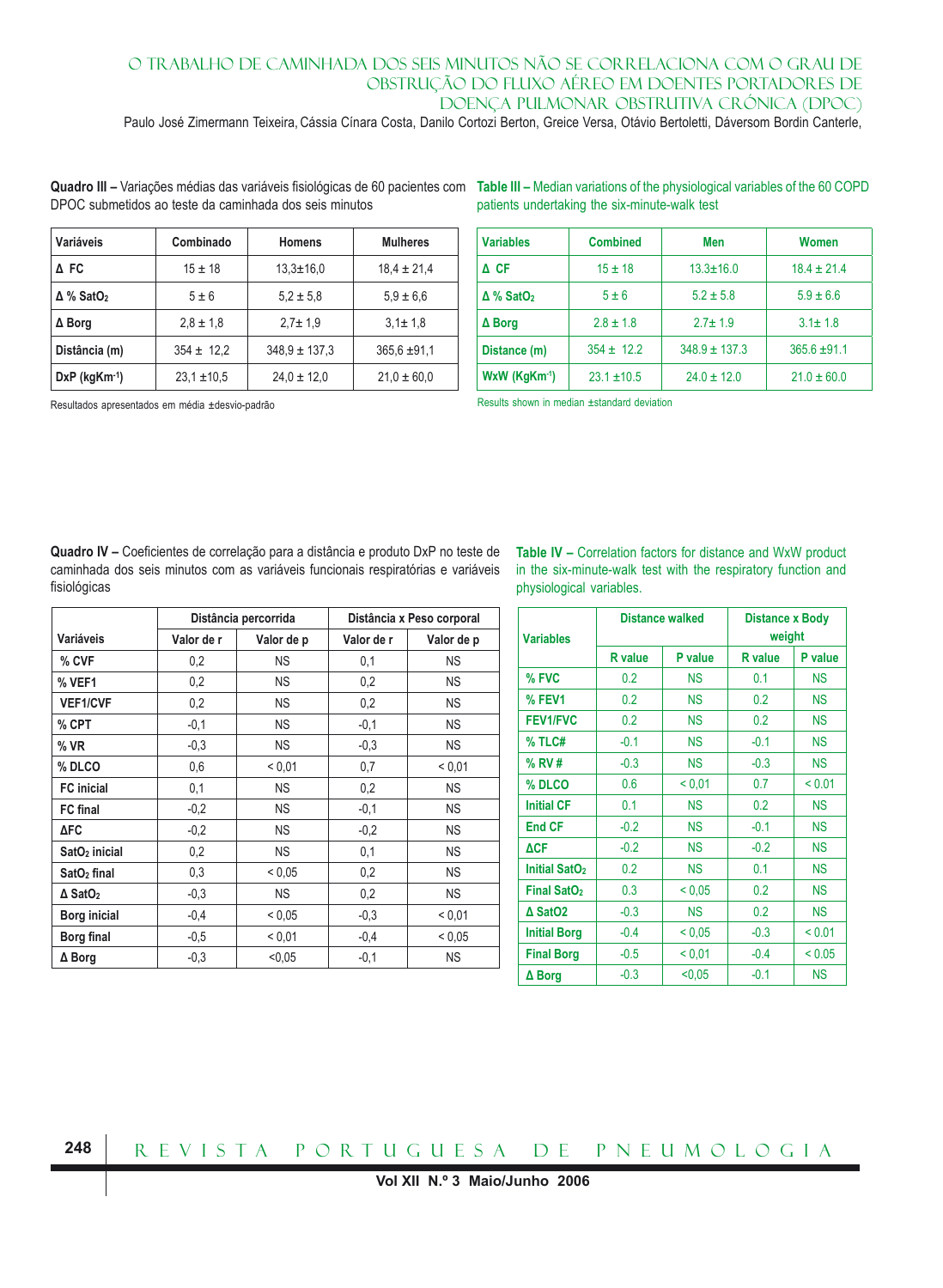Paulo José Zimermann Teixeira, Cássia Cínara Costa, Danilo Cortozi Berton, Greice Versa, Otávio Bertoletti, Dáversom Bordin Canterle,

Quadro III – Variações médias das variáveis fisiológicas de 60 pacientes com Table III – Median variations of the physiological variables of the 60 COPD DPOC submetidos ao teste da caminhada dos seis minutos

| Variáveis                    | Combinado       | <b>Homens</b>     | <b>Mulheres</b>  |
|------------------------------|-----------------|-------------------|------------------|
| A FC                         | $15 \pm 18$     | $13.3 \pm 16.0$   | $18.4 \pm 21.4$  |
| $\Delta$ % SatO <sub>2</sub> | $5 \pm 6$       | $5.2 \pm 5.8$     | $5.9 \pm 6.6$    |
| ∆ Borg                       | $2.8 \pm 1.8$   | $2.7 \pm 1.9$     | $3.1 \pm 1.8$    |
| Distância (m)                | $354 \pm 12.2$  | $348.9 \pm 137.3$ | $365.6 \pm 91.1$ |
| $DxP$ (kg $Km^{-1}$ )        | $23.1 \pm 10.5$ | $24.0 \pm 12.0$   | $21.0 \pm 60.0$  |

patients undertaking the six-minute-walk test

| <b>Variables</b>             | <b>Combined</b> | Men               | Women            |
|------------------------------|-----------------|-------------------|------------------|
| $\Delta$ CF                  | $15 \pm 18$     | $13.3 \pm 16.0$   | $18.4 \pm 21.4$  |
| $\Delta$ % SatO <sub>2</sub> | $5 \pm 6$       | $5.2 \pm 5.8$     | $5.9 \pm 6.6$    |
| $\Delta$ Borg                | $2.8 \pm 1.8$   | $2.7 \pm 1.9$     | $3.1 \pm 1.8$    |
| Distance (m)                 | $354 \pm 12.2$  | $348.9 \pm 137.3$ | $365.6 \pm 91.1$ |
| $WxW (KqKm-1)$               | $23.1 \pm 10.5$ | $24.0 \pm 12.0$   | $21.0 \pm 60.0$  |

Resultados apresentados em média ±desvio-padrão

Results shown in median ±standard deviation

**Quadro IV –** Coeficientes de correlação para a distância e produto DxP no teste de caminhada dos seis minutos com as variáveis funcionais respiratórias e variáveis fisiológicas

**Table IV –** Correlation factors for distance and WxW product in the six-minute-walk test with the respiratory function and physiological variables.

|                            |            | Distância percorrida |            | Distância x Peso corporal |
|----------------------------|------------|----------------------|------------|---------------------------|
| Variáveis                  | Valor de r | Valor de p           | Valor de r | Valor de p                |
| % CVF                      | 0,2        | <b>NS</b>            | 0,1        | NS.                       |
| % VEF1                     | 0,2        | <b>NS</b>            | 0,2        | <b>NS</b>                 |
| <b>VEF1/CVF</b>            | 0,2        | <b>NS</b>            | 0,2        | <b>NS</b>                 |
| % CPT                      | $-0,1$     | <b>NS</b>            | $-0,1$     | NS.                       |
| $%$ VR                     | $-0,3$     | <b>NS</b>            | $-0.3$     | <b>NS</b>                 |
| % DLCO                     | 0,6        | ${}_{0.01}$          | 0,7        | < 0.01                    |
| <b>FC</b> inicial          | 0,1        | <b>NS</b>            | 0,2        | <b>NS</b>                 |
| <b>FC</b> final            | $-0,2$     | <b>NS</b>            | $-0,1$     | <b>NS</b>                 |
| <b>ΔFC</b>                 | $-0,2$     | <b>NS</b>            | $-0,2$     | <b>NS</b>                 |
| SatO <sub>2</sub> inicial  | 0,2        | <b>NS</b>            | 0,1        | <b>NS</b>                 |
| SatO <sub>2</sub> final    | 0,3        | < 0.05               | 0,2        | NS.                       |
| $\Delta$ SatO <sub>2</sub> | $-0,3$     | <b>NS</b>            | 0,2        | <b>NS</b>                 |
| Borg inicial               | $-0,4$     | < 0.05               | $-0.3$     | < 0.01                    |
| Borg final                 | $-0.5$     | < 0.01               | $-0.4$     | < 0.05                    |
| $\Delta$ Borg              | $-0,3$     | < 0.05               | $-0,1$     | <b>NS</b>                 |

| <b>Variables</b>               |                | <b>Distance walked</b> | <b>Distance x Body</b><br>weight |           |  |
|--------------------------------|----------------|------------------------|----------------------------------|-----------|--|
|                                | <b>R</b> value | P value                | <b>R</b> value                   | P value   |  |
| % FVC                          | 0.2            | <b>NS</b>              | 0.1                              | <b>NS</b> |  |
| % FEV1                         | 0.2            | <b>NS</b>              | 0.2                              | NS.       |  |
| <b>FEV1/FVC</b>                | 0.2            | <b>NS</b>              | 0.2                              | <b>NS</b> |  |
| % TLC#                         | $-0.1$         | <b>NS</b>              | $-0.1$                           | <b>NS</b> |  |
| % RV #                         | $-0.3$         | <b>NS</b>              | $-0.3$                           | <b>NS</b> |  |
| % DLCO                         | 0.6            | < 0.01                 | 0.7                              | < 0.01    |  |
| <b>Initial CF</b>              | 0.1            | <b>NS</b>              | 0.2                              | <b>NS</b> |  |
| <b>End CF</b>                  | $-0.2$         | <b>NS</b>              | $-0.1$                           | <b>NS</b> |  |
| <b>ACF</b>                     | $-0.2$         | <b>NS</b>              | $-0.2$                           | <b>NS</b> |  |
| Initial SatO <sub>2</sub>      | 0.2            | <b>NS</b>              | 0.1                              | <b>NS</b> |  |
| <b>Final SatO</b> <sub>2</sub> | 0.3            | < 0.05                 | 0.2                              | <b>NS</b> |  |
| $\Delta$ SatO2                 | $-0.3$         | <b>NS</b>              | 0.2                              | <b>NS</b> |  |
| <b>Initial Borg</b>            | $-0.4$         | < 0.05                 | $-0.3$                           | < 0.01    |  |
| <b>Final Borg</b>              | $-0.5$         | < 0.01                 | $-0.4$                           | < 0.05    |  |
| $\Delta$ Borg                  | $-0.3$         | < 0,05                 | $-0.1$                           | <b>NS</b> |  |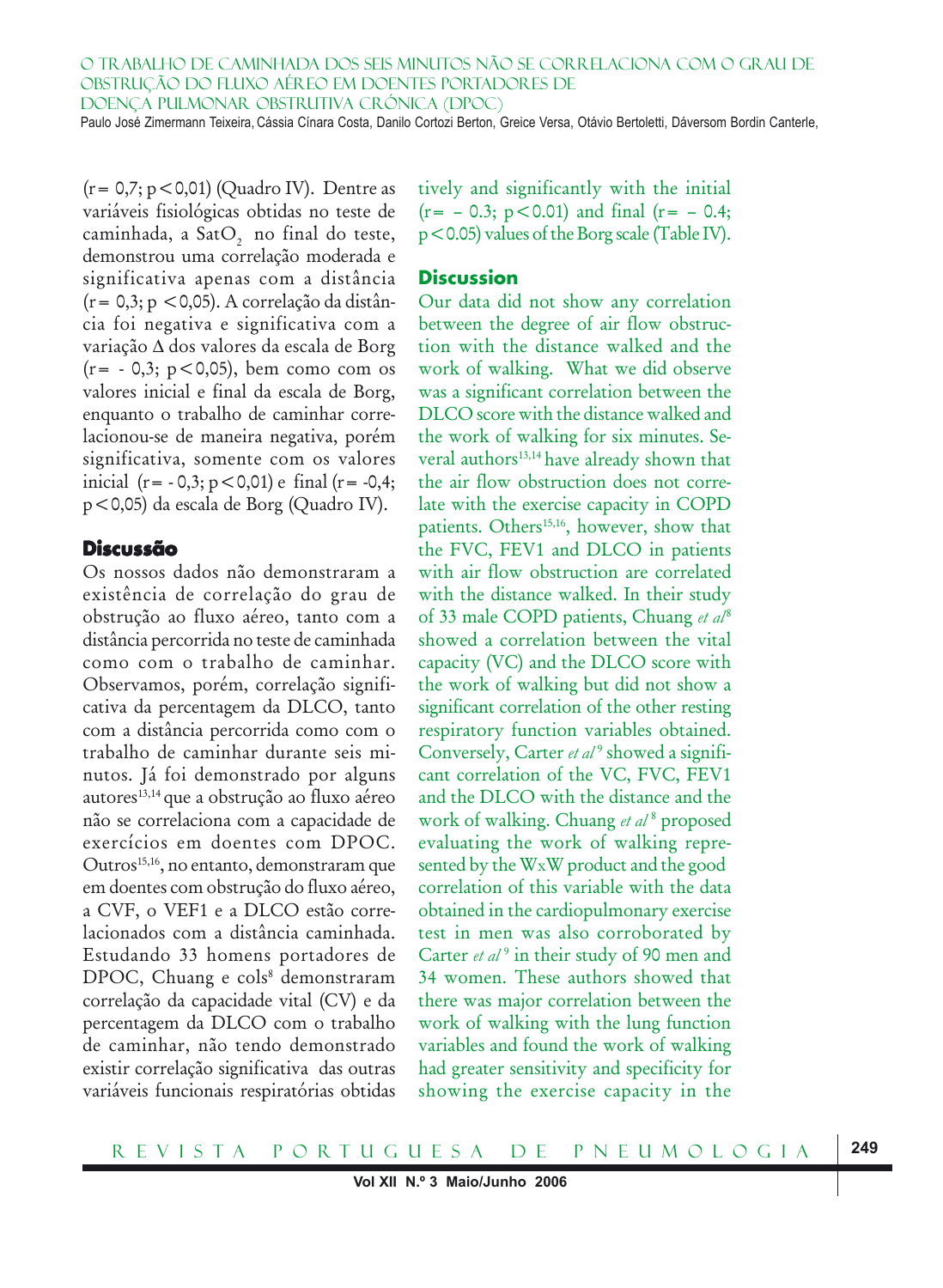Paulo José Zimermann Teixeira, Cássia Cínara Costa, Danilo Cortozi Berton, Greice Versa, Otávio Bertoletti, Dáversom Bordin Canterle,

(r= 0,7; p<0,01) (Quadro IV). Dentre as variáveis fisiológicas obtidas no teste de caminhada, a SatO, no final do teste, demonstrou uma correlação moderada e significativa apenas com a distância  $(r= 0, 3; p < 0, 05)$ . A correlação da distância foi negativa e significativa com a variação ∆ dos valores da escala de Borg  $(r = -0, 3; p < 0, 05)$ , bem como com os valores inicial e final da escala de Borg, enquanto o trabalho de caminhar correlacionou-se de maneira negativa, porém significativa, somente com os valores inicial  $(r = -0.3; p < 0.01)$  e final  $(r = -0.4;$ p<0,05) da escala de Borg (Quadro IV).

#### **Discussão**

Os nossos dados não demonstraram a existência de correlação do grau de obstrução ao fluxo aéreo, tanto com a distância percorrida no teste de caminhada como com o trabalho de caminhar. Observamos, porém, correlação significativa da percentagem da DLCO, tanto com a distância percorrida como com o trabalho de caminhar durante seis minutos. Já foi demonstrado por alguns autores13,14 que a obstrução ao fluxo aéreo não se correlaciona com a capacidade de exercícios em doentes com DPOC. Outros<sup>15,16</sup>, no entanto, demonstraram que em doentes com obstrução do fluxo aéreo, a CVF, o VEF1 e a DLCO estão correlacionados com a distância caminhada. Estudando 33 homens portadores de DPOC, Chuang e cols<sup>8</sup> demonstraram correlação da capacidade vital (CV) e da percentagem da DLCO com o trabalho de caminhar, não tendo demonstrado existir correlação significativa das outras variáveis funcionais respiratórias obtidas tively and significantly with the initial  $(r=-0.3; p<0.01)$  and final  $(r=-0.4;$ p<0.05) values of the Borg scale (Table IV).

# **Discussion**

Our data did not show any correlation between the degree of air flow obstruction with the distance walked and the work of walking. What we did observe was a significant correlation between the DLCO score with the distance walked and the work of walking for six minutes. Several authors<sup>13,14</sup> have already shown that the air flow obstruction does not correlate with the exercise capacity in COPD patients. Others<sup>15,16</sup>, however, show that the FVC, FEV1 and DLCO in patients with air flow obstruction are correlated with the distance walked. In their study of 33 male COPD patients, Chuang et al<sup>8</sup> showed a correlation between the vital capacity (VC) and the DLCO score with the work of walking but did not show a significant correlation of the other resting respiratory function variables obtained. Conversely, Carter *et al*<sup>9</sup> showed a significant correlation of the VC, FVC, FEV1 and the DLCO with the distance and the work of walking. Chuang *et al* <sup>8</sup> proposed evaluating the work of walking represented by the WxW product and the good correlation of this variable with the data obtained in the cardiopulmonary exercise test in men was also corroborated by Carter *et al*<sup>9</sup> in their study of 90 men and 34 women. These authors showed that there was major correlation between the work of walking with the lung function variables and found the work of walking had greater sensitivity and specificity for showing the exercise capacity in the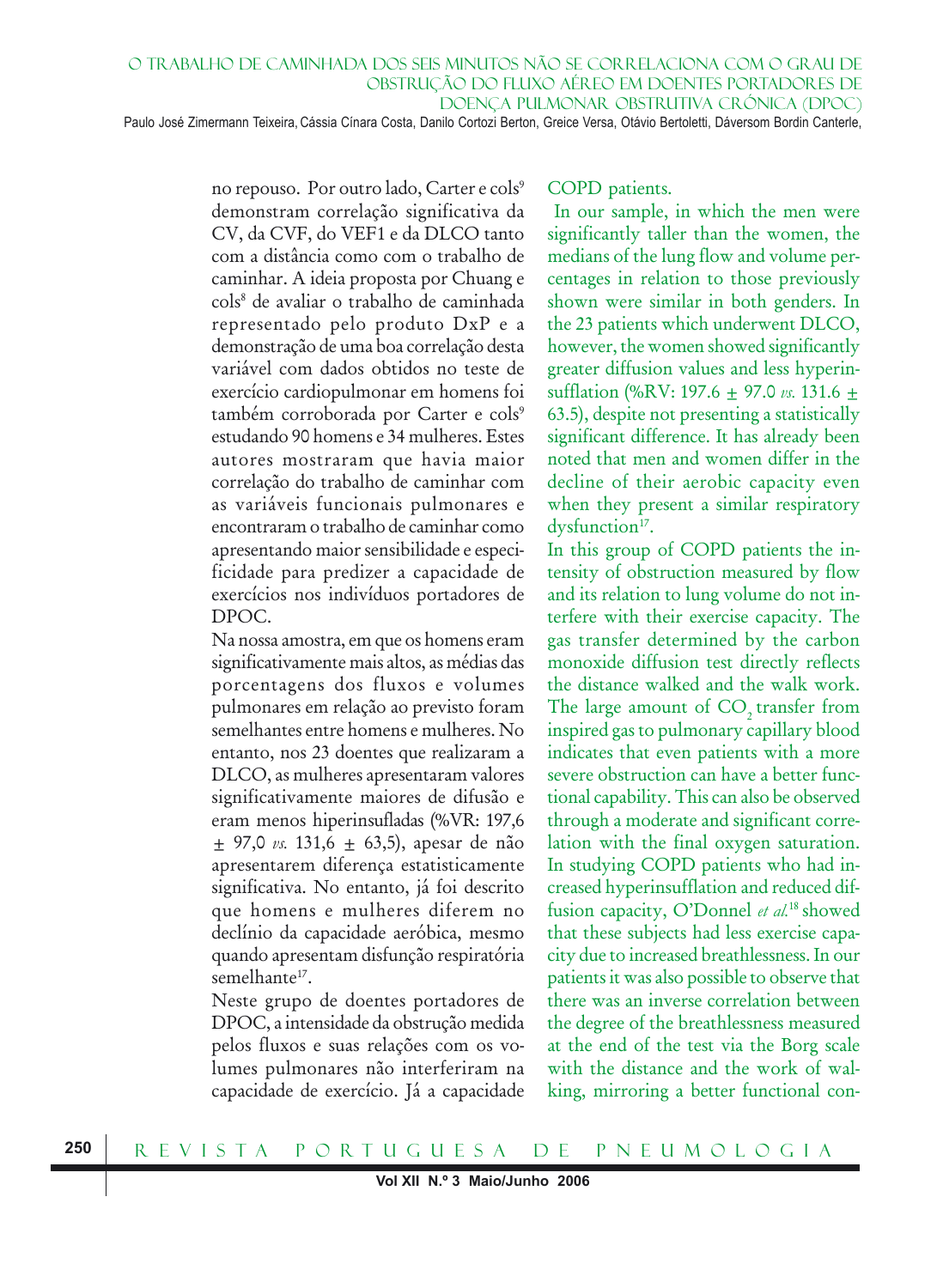no repouso. Por outro lado, Carter e cols<sup>9</sup> demonstram correlação significativa da CV, da CVF, do VEF1 e da DLCO tanto com a distância como com o trabalho de caminhar. A ideia proposta por Chuang e cols8 de avaliar o trabalho de caminhada representado pelo produto DxP e a demonstração de uma boa correlação desta variável com dados obtidos no teste de exercício cardiopulmonar em homens foi também corroborada por Carter e cols<sup>9</sup> estudando 90 homens e 34 mulheres. Estes autores mostraram que havia maior correlação do trabalho de caminhar com as variáveis funcionais pulmonares e encontraram o trabalho de caminhar como apresentando maior sensibilidade e especificidade para predizer a capacidade de exercícios nos indivíduos portadores de DPOC.

Na nossa amostra, em que os homens eram significativamente mais altos, as médias das porcentagens dos fluxos e volumes pulmonares em relação ao previsto foram semelhantes entre homens e mulheres. No entanto, nos 23 doentes que realizaram a DLCO, as mulheres apresentaram valores significativamente maiores de difusão e eram menos hiperinsufladas (%VR: 197,6 ± 97,0 *vs.* 131,6 ± 63,5), apesar de não apresentarem diferença estatisticamente significativa. No entanto, já foi descrito que homens e mulheres diferem no declínio da capacidade aeróbica, mesmo quando apresentam disfunção respiratória semelhante<sup>17</sup>.

Neste grupo de doentes portadores de DPOC, a intensidade da obstrução medida pelos fluxos e suas relações com os volumes pulmonares não interferiram na capacidade de exercício. Já a capacidade

#### COPD patients.

 In our sample, in which the men were significantly taller than the women, the medians of the lung flow and volume percentages in relation to those previously shown were similar in both genders. In the 23 patients which underwent DLCO, however, the women showed significantly greater diffusion values and less hyperinsufflation (%RV: 197.6 ± 97.0 *vs.* 131.6 ± 63.5), despite not presenting a statistically significant difference. It has already been noted that men and women differ in the decline of their aerobic capacity even when they present a similar respiratory dysfunction<sup>17</sup>.

In this group of COPD patients the intensity of obstruction measured by flow and its relation to lung volume do not interfere with their exercise capacity. The gas transfer determined by the carbon monoxide diffusion test directly reflects the distance walked and the walk work. The large amount of CO<sub>2</sub> transfer from inspired gas to pulmonary capillary blood indicates that even patients with a more severe obstruction can have a better functional capability. This can also be observed through a moderate and significant correlation with the final oxygen saturation. In studying COPD patients who had increased hyperinsufflation and reduced diffusion capacity, O'Donnel *et al.*18 showed that these subjects had less exercise capacity due to increased breathlessness. In our patients it was also possible to observe that there was an inverse correlation between the degree of the breathlessness measured at the end of the test via the Borg scale with the distance and the work of walking, mirroring a better functional con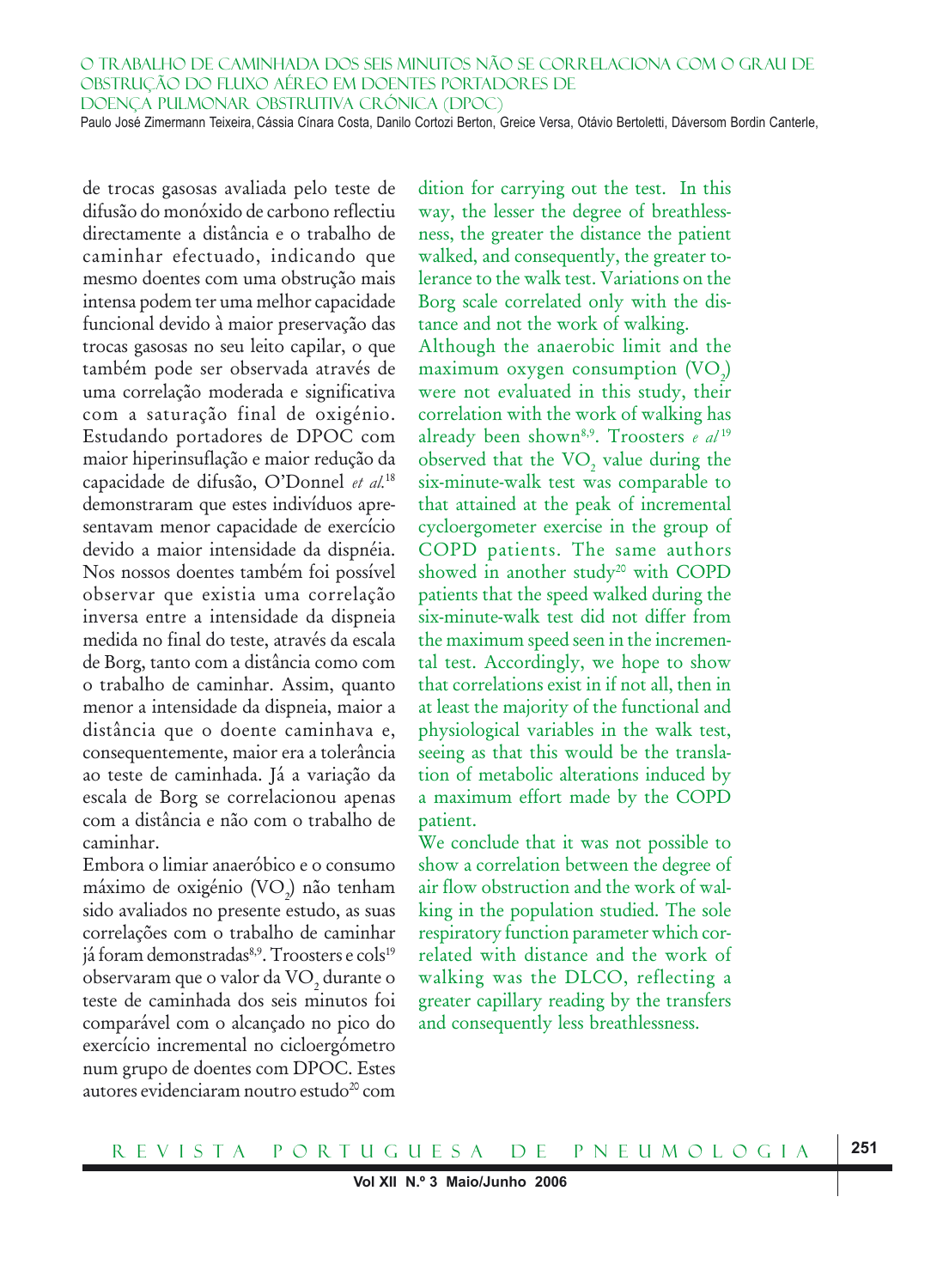de trocas gasosas avaliada pelo teste de difusão do monóxido de carbono reflectiu directamente a distância e o trabalho de caminhar efectuado, indicando que mesmo doentes com uma obstrução mais intensa podem ter uma melhor capacidade funcional devido à maior preservação das trocas gasosas no seu leito capilar, o que também pode ser observada através de uma correlação moderada e significativa com a saturação final de oxigénio. Estudando portadores de DPOC com maior hiperinsuflação e maior redução da capacidade de difusão, O'Donnel *et al.*<sup>18</sup> demonstraram que estes indivíduos apresentavam menor capacidade de exercício devido a maior intensidade da dispnéia. Nos nossos doentes também foi possível observar que existia uma correlação inversa entre a intensidade da dispneia medida no final do teste, através da escala de Borg, tanto com a distância como com o trabalho de caminhar. Assim, quanto menor a intensidade da dispneia, maior a distância que o doente caminhava e, consequentemente, maior era a tolerância ao teste de caminhada. Já a variação da escala de Borg se correlacionou apenas com a distância e não com o trabalho de caminhar.

Embora o limiar anaeróbico e o consumo máximo de oxigénio (VO $_{2}$ ) não tenham sido avaliados no presente estudo, as suas correlações com o trabalho de caminhar já foram demonstradas<sup>8,9</sup>. Troosters e cols<sup>19</sup> observaram que o valor da VO<sub>2</sub> durante o teste de caminhada dos seis minutos foi comparável com o alcançado no pico do exercício incremental no cicloergómetro num grupo de doentes com DPOC. Estes autores evidenciaram noutro estudo<sup>20</sup> com dition for carrying out the test. In this way, the lesser the degree of breathlessness, the greater the distance the patient walked, and consequently, the greater tolerance to the walk test. Variations on the Borg scale correlated only with the distance and not the work of walking.

Although the anaerobic limit and the maximum oxygen consumption  $(\mathrm{VO}_2)$ were not evaluated in this study, their correlation with the work of walking has already been shown8,9. Troosters *e al* <sup>19</sup> observed that the  $\rm VO_{2}$  value during the six-minute-walk test was comparable to that attained at the peak of incremental cycloergometer exercise in the group of COPD patients. The same authors showed in another study<sup>20</sup> with COPD patients that the speed walked during the six-minute-walk test did not differ from the maximum speed seen in the incremental test. Accordingly, we hope to show that correlations exist in if not all, then in at least the majority of the functional and physiological variables in the walk test, seeing as that this would be the translation of metabolic alterations induced by a maximum effort made by the COPD patient.

We conclude that it was not possible to show a correlation between the degree of air flow obstruction and the work of walking in the population studied. The sole respiratory function parameter which correlated with distance and the work of walking was the DLCO, reflecting a greater capillary reading by the transfers and consequently less breathlessness.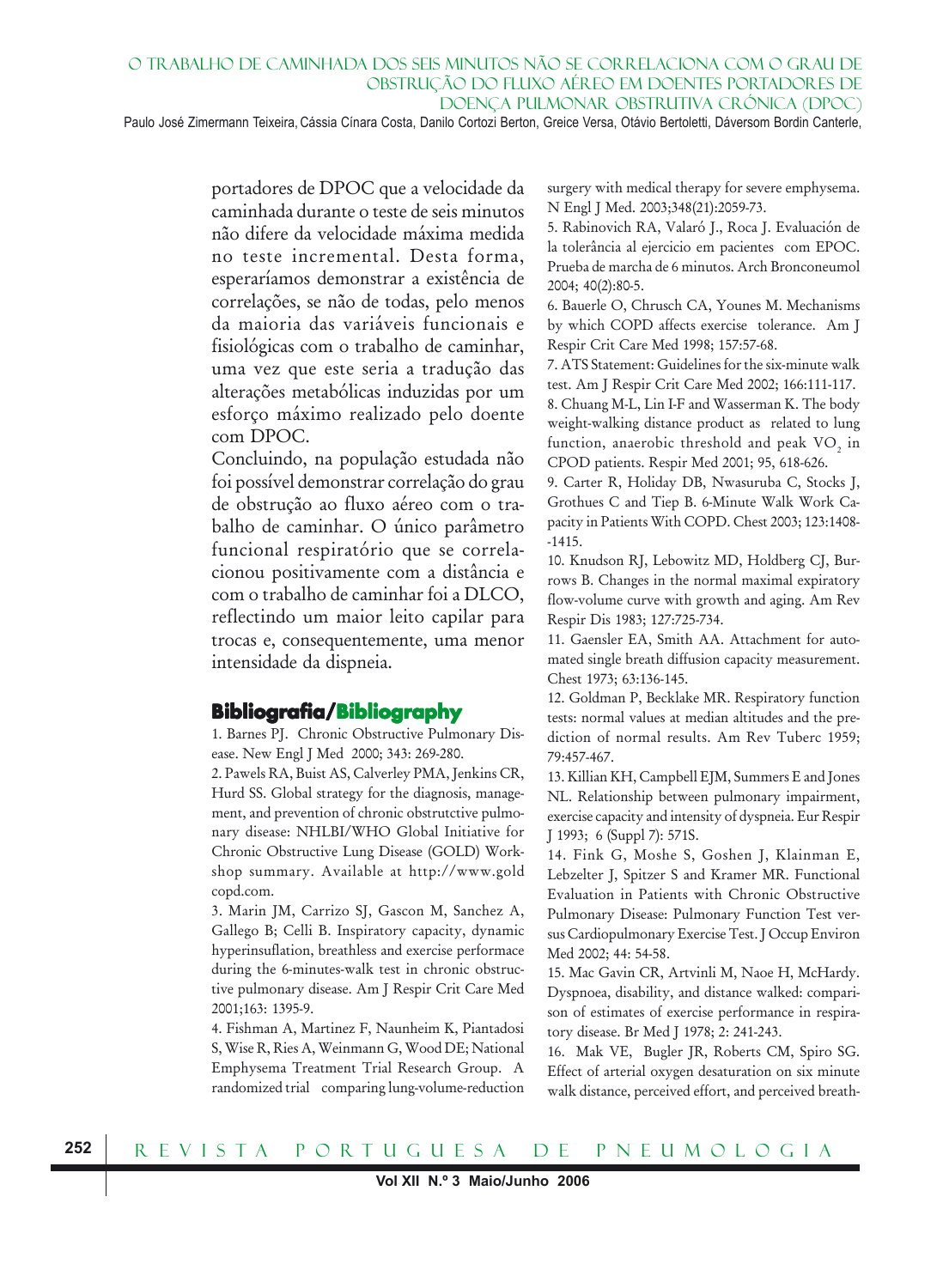Paulo José Zimermann Teixeira, Cássia Cínara Costa, Danilo Cortozi Berton, Greice Versa, Otávio Bertoletti, Dáversom Bordin Canterle,

portadores de DPOC que a velocidade da caminhada durante o teste de seis minutos não difere da velocidade máxima medida no teste incremental. Desta forma, esperaríamos demonstrar a existência de correlações, se não de todas, pelo menos da maioria das variáveis funcionais e fisiológicas com o trabalho de caminhar, uma vez que este seria a tradução das alterações metabólicas induzidas por um esforço máximo realizado pelo doente com DPOC.

Concluindo, na população estudada não foi possível demonstrar correlação do grau de obstrução ao fluxo aéreo com o trabalho de caminhar. O único parâmetro funcional respiratório que se correlacionou positivamente com a distância e com o trabalho de caminhar foi a DLCO, reflectindo um maior leito capilar para trocas e, consequentemente, uma menor intensidade da dispneia.

# **Bibliografia/Bibliography**

1. Barnes PJ. Chronic Obstructive Pulmonary Disease. New Engl J Med 2000; 343: 269-280.

2. Pawels RA, Buist AS, Calverley PMA, Jenkins CR, Hurd SS. Global strategy for the diagnosis, management, and prevention of chronic obstrutctive pulmonary disease: NHLBI/WHO Global Initiative for Chronic Obstructive Lung Disease (GOLD) Workshop summary. Available at http://www.gold copd.com.

3. Marin JM, Carrizo SJ, Gascon M, Sanchez A, Gallego B; Celli B. Inspiratory capacity, dynamic hyperinsuflation, breathless and exercise performace during the 6-minutes-walk test in chronic obstructive pulmonary disease. Am J Respir Crit Care Med 2001;163: 1395-9.

4. Fishman A, Martinez F, Naunheim K, Piantadosi S, Wise R, Ries A, Weinmann G, Wood DE; National Emphysema Treatment Trial Research Group. A randomized trial comparing lung-volume-reduction

surgery with medical therapy for severe emphysema. N Engl J Med. 2003;348(21):2059-73.

5. Rabinovich RA, Valaró J., Roca J. Evaluación de la tolerância al ejercicio em pacientes com EPOC. Prueba de marcha de 6 minutos. Arch Bronconeumol 2004; 40(2):80-5.

6. Bauerle O, Chrusch CA, Younes M. Mechanisms by which COPD affects exercise tolerance. Am J Respir Crit Care Med 1998; 157:57-68.

7. ATS Statement: Guidelines for the six-minute walk test. Am J Respir Crit Care Med 2002; 166:111-117. 8. Chuang M-L, Lin I-F and Wasserman K. The body weight-walking distance product as related to lung function, anaerobic threshold and peak  $\rm VO_{2}$  in CPOD patients. Respir Med 2001; 95, 618-626.

9. Carter R, Holiday DB, Nwasuruba C, Stocks J, Grothues C and Tiep B. 6-Minute Walk Work Capacity in Patients With COPD. Chest 2003; 123:1408- -1415.

10. Knudson RJ, Lebowitz MD, Holdberg CJ, Burrows B. Changes in the normal maximal expiratory flow-volume curve with growth and aging. Am Rev Respir Dis 1983; 127:725-734.

11. Gaensler EA, Smith AA. Attachment for automated single breath diffusion capacity measurement. Chest 1973; 63:136-145.

12. Goldman P, Becklake MR. Respiratory function tests: normal values at median altitudes and the prediction of normal results. Am Rev Tuberc 1959; 79:457-467.

13. Killian KH, Campbell EJM, Summers E and Jones NL. Relationship between pulmonary impairment, exercise capacity and intensity of dyspneia. Eur Respir J 1993; 6 (Suppl 7): 571S.

14. Fink G, Moshe S, Goshen J, Klainman E, Lebzelter J, Spitzer S and Kramer MR. Functional Evaluation in Patients with Chronic Obstructive Pulmonary Disease: Pulmonary Function Test versus Cardiopulmonary Exercise Test. J Occup Environ Med 2002; 44: 54-58.

15. Mac Gavin CR, Artvinli M, Naoe H, McHardy. Dyspnoea, disability, and distance walked: comparison of estimates of exercise performance in respiratory disease. Br Med J 1978; 2: 241-243.

16. Mak VE, Bugler JR, Roberts CM, Spiro SG. Effect of arterial oxygen desaturation on six minute walk distance, perceived effort, and perceived breath-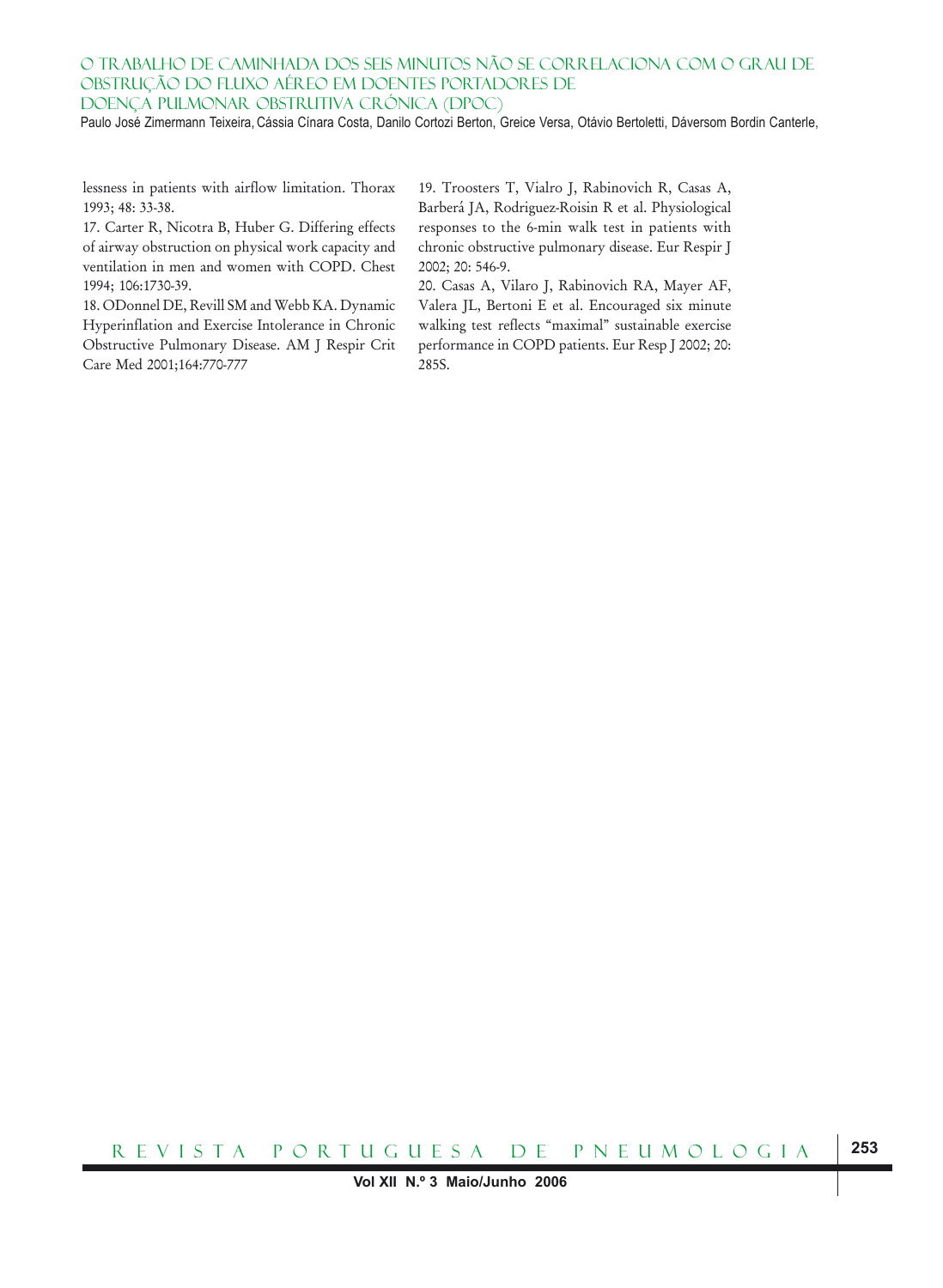Paulo José Zimermann Teixeira, Cássia Cínara Costa, Danilo Cortozi Berton, Greice Versa, Otávio Bertoletti, Dáversom Bordin Canterle,

lessness in patients with airflow limitation. Thorax 1993; 48: 33-38.

17. Carter R, Nicotra B, Huber G. Differing effects of airway obstruction on physical work capacity and ventilation in men and women with COPD. Chest 1994; 106:1730-39.

18. ODonnel DE, Revill SM and Webb KA. Dynamic Hyperinflation and Exercise Intolerance in Chronic Obstructive Pulmonary Disease. AM J Respir Crit Care Med 2001;164:770-777

19. Troosters T, Vialro J, Rabinovich R, Casas A, Barberá JA, Rodriguez-Roisin R et al. Physiological responses to the 6-min walk test in patients with chronic obstructive pulmonary disease. Eur Respir J 2002; 20: 546-9.

20. Casas A, Vilaro J, Rabinovich RA, Mayer AF, Valera JL, Bertoni E et al. Encouraged six minute walking test reflects "maximal" sustainable exercise performance in COPD patients. Eur Resp J 2002; 20: 285S.